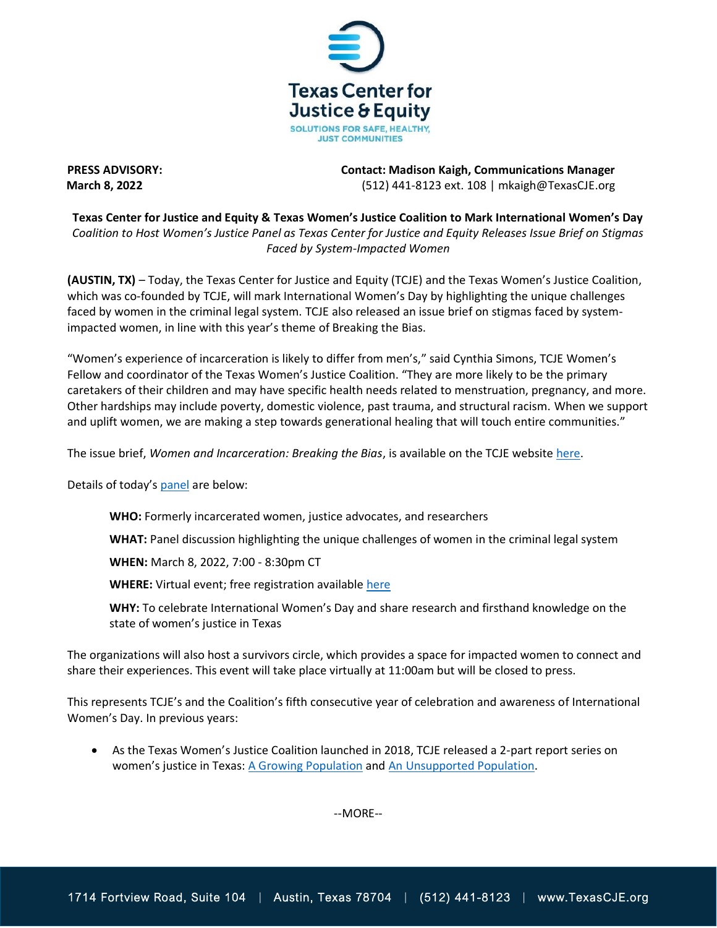

**PRESS ADVISORY: Contact: Madison Kaigh, Communications Manager March 8, 2022** (512) 441-8123 ext. 108 | mkaigh@TexasCJE.org

**Texas Center for Justice and Equity & Texas Women's Justice Coalition to Mark International Women's Day** *Coalition to Host Women's Justice Panel as Texas Center for Justice and Equity Releases Issue Brief on Stigmas Faced by System-Impacted Women*

**(AUSTIN, TX)** – Today, the Texas Center for Justice and Equity (TCJE) and the Texas Women's Justice Coalition, which was co-founded by TCJE, will mark International Women's Day by highlighting the unique challenges faced by women in the criminal legal system. TCJE also released an issue brief on stigmas faced by systemimpacted women, in line with this year's theme of Breaking the Bias.

"Women's experience of incarceration is likely to differ from men's," said Cynthia Simons, TCJE Women's Fellow and coordinator of the Texas Women's Justice Coalition. "They are more likely to be the primary caretakers of their children and may have specific health needs related to menstruation, pregnancy, and more. Other hardships may include poverty, domestic violence, past trauma, and structural racism. When we support and uplift women, we are making a step towards generational healing that will touch entire communities."

The issue brief, *Women and Incarceration: Breaking the Bias*, is available on the TCJE website [here.](https://www.texascje.org/system/files/publications/2022-03/women-and-incarceration-breaking-bias-tcje.pdf)

Details of today's [panel](https://us02web.zoom.us/webinar/register/WN_fi3qrc5NSpa-TsQAE4q2DA) are below:

**WHO:** Formerly incarcerated women, justice advocates, and researchers

**WHAT:** Panel discussion highlighting the unique challenges of women in the criminal legal system

**WHEN:** March 8, 2022, 7:00 - 8:30pm CT

**WHERE:** Virtual event; free registration available [here](https://us02web.zoom.us/webinar/register/WN_fi3qrc5NSpa-TsQAE4q2DA)

**WHY:** To celebrate International Women's Day and share research and firsthand knowledge on the state of women's justice in Texas

The organizations will also host a survivors circle, which provides a space for impacted women to connect and share their experiences. This event will take place virtually at 11:00am but will be closed to press.

This represents TCJE's and the Coalition's fifth consecutive year of celebration and awareness of International Women's Day. In previous years:

• As the Texas Women's Justice Coalition launched in 2018, TCJE released a 2-part report series on women's justice in Texas: [A Growing Population](https://www.texascje.org/system/files/publications/TCJC%20Womens%20Report%20Part%201.pdf) and [An Unsupported Population.](https://www.texascje.org/system/files/publications/TCJC%20Womens%20Report%20Part%202.pdf)

--MORE--